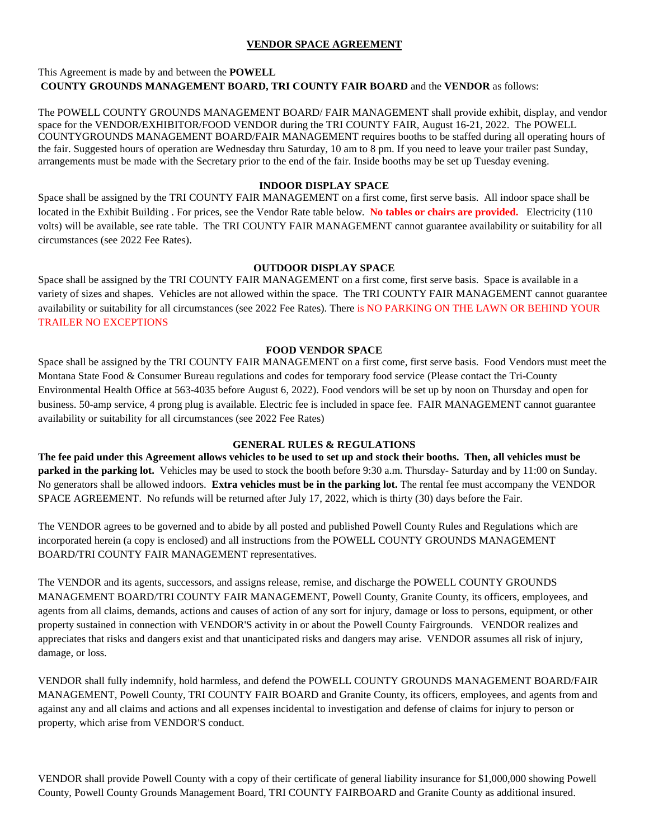## **VENDOR SPACE AGREEMENT**

## This Agreement is made by and between the **POWELL COUNTY GROUNDS MANAGEMENT BOARD, TRI COUNTY FAIR BOARD** and the **VENDOR** as follows:

The POWELL COUNTY GROUNDS MANAGEMENT BOARD/ FAIR MANAGEMENT shall provide exhibit, display, and vendor space for the VENDOR/EXHIBITOR/FOOD VENDOR during the TRI COUNTY FAIR, August 16-21, 2022. The POWELL COUNTYGROUNDS MANAGEMENT BOARD/FAIR MANAGEMENT requires booths to be staffed during all operating hours of the fair. Suggested hours of operation are Wednesday thru Saturday, 10 am to 8 pm. If you need to leave your trailer past Sunday, arrangements must be made with the Secretary prior to the end of the fair. Inside booths may be set up Tuesday evening.

## **INDOOR DISPLAY SPACE**

Space shall be assigned by the TRI COUNTY FAIR MANAGEMENT on a first come, first serve basis. All indoor space shall be located in the Exhibit Building . For prices, see the Vendor Rate table below. **No tables or chairs are provided.** Electricity (110 volts) will be available, see rate table. The TRI COUNTY FAIR MANAGEMENT cannot guarantee availability or suitability for all circumstances (see 2022 Fee Rates).

## **OUTDOOR DISPLAY SPACE**

Space shall be assigned by the TRI COUNTY FAIR MANAGEMENT on a first come, first serve basis. Space is available in a variety of sizes and shapes. Vehicles are not allowed within the space. The TRI COUNTY FAIR MANAGEMENT cannot guarantee availability or suitability for all circumstances (see 2022 Fee Rates). There is NO PARKING ON THE LAWN OR BEHIND YOUR TRAILER NO EXCEPTIONS

## **FOOD VENDOR SPACE**

Space shall be assigned by the TRI COUNTY FAIR MANAGEMENT on a first come, first serve basis. Food Vendors must meet the Montana State Food & Consumer Bureau regulations and codes for temporary food service (Please contact the Tri-County Environmental Health Office at 563-4035 before August 6, 2022). Food vendors will be set up by noon on Thursday and open for business. 50-amp service, 4 prong plug is available. Electric fee is included in space fee. FAIR MANAGEMENT cannot guarantee availability or suitability for all circumstances (see 2022 Fee Rates)

### **GENERAL RULES & REGULATIONS**

**The fee paid under this Agreement allows vehicles to be used to set up and stock their booths. Then, all vehicles must be parked in the parking lot.** Vehicles may be used to stock the booth before 9:30 a.m. Thursday- Saturday and by 11:00 on Sunday. No generators shall be allowed indoors. **Extra vehicles must be in the parking lot.** The rental fee must accompany the VENDOR SPACE AGREEMENT. No refunds will be returned after July 17, 2022, which is thirty (30) days before the Fair.

The VENDOR agrees to be governed and to abide by all posted and published Powell County Rules and Regulations which are incorporated herein (a copy is enclosed) and all instructions from the POWELL COUNTY GROUNDS MANAGEMENT BOARD/TRI COUNTY FAIR MANAGEMENT representatives.

The VENDOR and its agents, successors, and assigns release, remise, and discharge the POWELL COUNTY GROUNDS MANAGEMENT BOARD/TRI COUNTY FAIR MANAGEMENT, Powell County, Granite County, its officers, employees, and agents from all claims, demands, actions and causes of action of any sort for injury, damage or loss to persons, equipment, or other property sustained in connection with VENDOR'S activity in or about the Powell County Fairgrounds. VENDOR realizes and appreciates that risks and dangers exist and that unanticipated risks and dangers may arise. VENDOR assumes all risk of injury, damage, or loss.

VENDOR shall fully indemnify, hold harmless, and defend the POWELL COUNTY GROUNDS MANAGEMENT BOARD/FAIR MANAGEMENT, Powell County, TRI COUNTY FAIR BOARD and Granite County, its officers, employees, and agents from and against any and all claims and actions and all expenses incidental to investigation and defense of claims for injury to person or property, which arise from VENDOR'S conduct.

VENDOR shall provide Powell County with a copy of their certificate of general liability insurance for \$1,000,000 showing Powell County, Powell County Grounds Management Board, TRI COUNTY FAIRBOARD and Granite County as additional insured.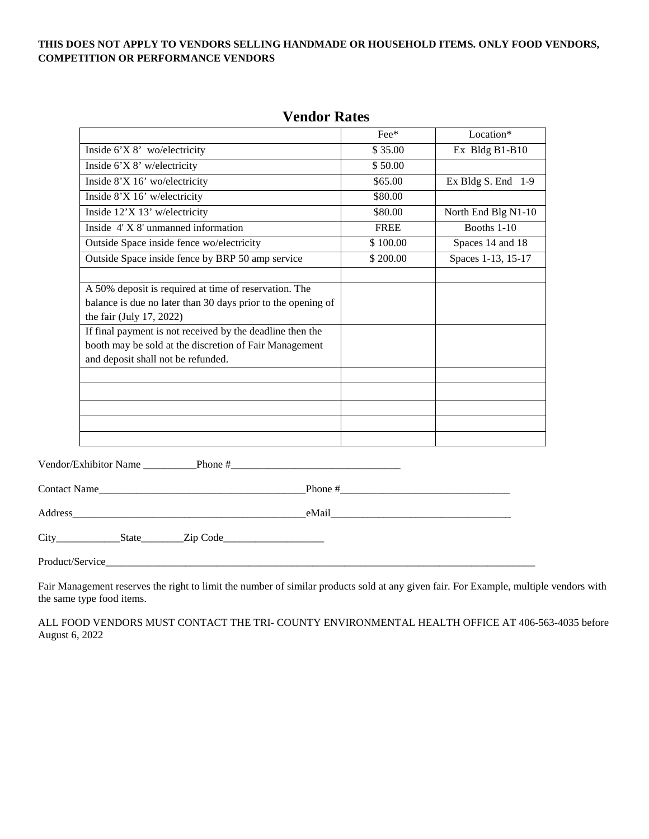## **THIS DOES NOT APPLY TO VENDORS SELLING HANDMADE OR HOUSEHOLD ITEMS. ONLY FOOD VENDORS, COMPETITION OR PERFORMANCE VENDORS**

|                                                                                                                                                           | Fee*        | Location*           |
|-----------------------------------------------------------------------------------------------------------------------------------------------------------|-------------|---------------------|
| Inside 6'X 8' wo/electricity                                                                                                                              | \$35.00     | Ex Bldg B1-B10      |
| Inside 6'X 8' w/electricity                                                                                                                               | \$50.00     |                     |
| Inside 8'X 16' wo/electricity                                                                                                                             | \$65.00     | Ex Bldg S. End 1-9  |
| Inside 8'X 16' w/electricity                                                                                                                              | \$80.00     |                     |
| Inside 12'X 13' w/electricity                                                                                                                             | \$80.00     | North End Blg N1-10 |
| Inside $4'$ X $8'$ unmanned information                                                                                                                   | <b>FREE</b> | Booths 1-10         |
| Outside Space inside fence wo/electricity                                                                                                                 | \$100.00    | Spaces 14 and 18    |
| Outside Space inside fence by BRP 50 amp service                                                                                                          | \$200.00    | Spaces 1-13, 15-17  |
| A 50% deposit is required at time of reservation. The<br>balance is due no later than 30 days prior to the opening of<br>the fair (July 17, 2022)         |             |                     |
| If final payment is not received by the deadline then the<br>booth may be sold at the discretion of Fair Management<br>and deposit shall not be refunded. |             |                     |
|                                                                                                                                                           |             |                     |
|                                                                                                                                                           |             |                     |
|                                                                                                                                                           |             |                     |
|                                                                                                                                                           |             |                     |
|                                                                                                                                                           |             |                     |
|                                                                                                                                                           |             |                     |
|                                                                                                                                                           |             |                     |
| City_________________State___________Zip Code___________________________________                                                                          |             |                     |
| Product/Service                                                                                                                                           |             |                     |

# **Vendor Rates**

Fair Management reserves the right to limit the number of similar products sold at any given fair. For Example, multiple vendors with the same type food items.

ALL FOOD VENDORS MUST CONTACT THE TRI- COUNTY ENVIRONMENTAL HEALTH OFFICE AT 406-563-4035 before August 6, 2022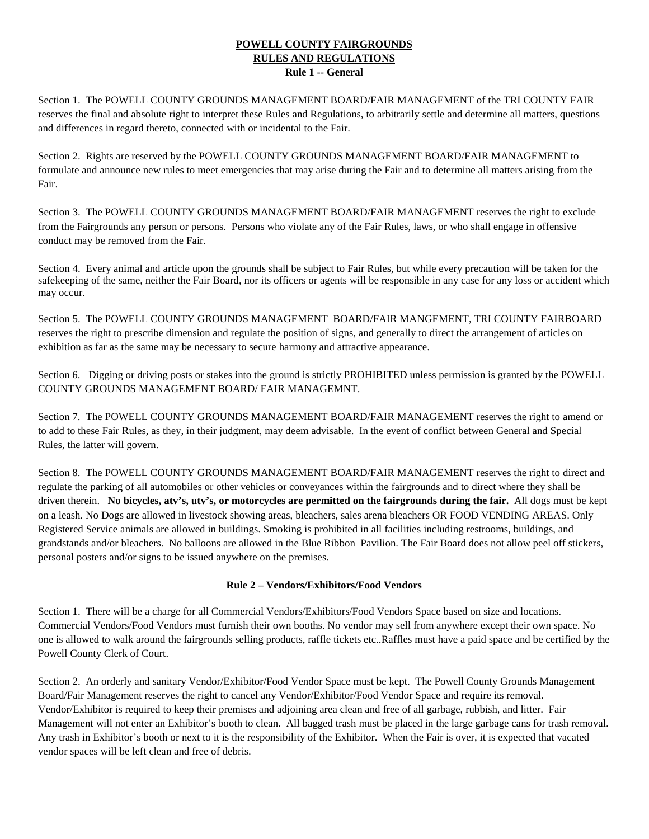# **POWELL COUNTY FAIRGROUNDS RULES AND REGULATIONS Rule 1 -- General**

Section 1. The POWELL COUNTY GROUNDS MANAGEMENT BOARD/FAIR MANAGEMENT of the TRI COUNTY FAIR reserves the final and absolute right to interpret these Rules and Regulations, to arbitrarily settle and determine all matters, questions and differences in regard thereto, connected with or incidental to the Fair.

Section 2. Rights are reserved by the POWELL COUNTY GROUNDS MANAGEMENT BOARD/FAIR MANAGEMENT to formulate and announce new rules to meet emergencies that may arise during the Fair and to determine all matters arising from the Fair.

Section 3. The POWELL COUNTY GROUNDS MANAGEMENT BOARD/FAIR MANAGEMENT reserves the right to exclude from the Fairgrounds any person or persons. Persons who violate any of the Fair Rules, laws, or who shall engage in offensive conduct may be removed from the Fair.

Section 4. Every animal and article upon the grounds shall be subject to Fair Rules, but while every precaution will be taken for the safekeeping of the same, neither the Fair Board, nor its officers or agents will be responsible in any case for any loss or accident which may occur.

Section 5. The POWELL COUNTY GROUNDS MANAGEMENT BOARD/FAIR MANGEMENT, TRI COUNTY FAIRBOARD reserves the right to prescribe dimension and regulate the position of signs, and generally to direct the arrangement of articles on exhibition as far as the same may be necessary to secure harmony and attractive appearance.

Section 6. Digging or driving posts or stakes into the ground is strictly PROHIBITED unless permission is granted by the POWELL COUNTY GROUNDS MANAGEMENT BOARD/ FAIR MANAGEMNT.

Section 7. The POWELL COUNTY GROUNDS MANAGEMENT BOARD/FAIR MANAGEMENT reserves the right to amend or to add to these Fair Rules, as they, in their judgment, may deem advisable. In the event of conflict between General and Special Rules, the latter will govern.

Section 8. The POWELL COUNTY GROUNDS MANAGEMENT BOARD/FAIR MANAGEMENT reserves the right to direct and regulate the parking of all automobiles or other vehicles or conveyances within the fairgrounds and to direct where they shall be driven therein. **No bicycles, atv's, utv's, or motorcycles are permitted on the fairgrounds during the fair.** All dogs must be kept on a leash. No Dogs are allowed in livestock showing areas, bleachers, sales arena bleachers OR FOOD VENDING AREAS. Only Registered Service animals are allowed in buildings. Smoking is prohibited in all facilities including restrooms, buildings, and grandstands and/or bleachers. No balloons are allowed in the Blue Ribbon Pavilion. The Fair Board does not allow peel off stickers, personal posters and/or signs to be issued anywhere on the premises.

## **Rule 2 – Vendors/Exhibitors/Food Vendors**

Section 1. There will be a charge for all Commercial Vendors/Exhibitors/Food Vendors Space based on size and locations. Commercial Vendors/Food Vendors must furnish their own booths. No vendor may sell from anywhere except their own space. No one is allowed to walk around the fairgrounds selling products, raffle tickets etc..Raffles must have a paid space and be certified by the Powell County Clerk of Court.

Section 2. An orderly and sanitary Vendor/Exhibitor/Food Vendor Space must be kept. The Powell County Grounds Management Board/Fair Management reserves the right to cancel any Vendor/Exhibitor/Food Vendor Space and require its removal. Vendor/Exhibitor is required to keep their premises and adjoining area clean and free of all garbage, rubbish, and litter. Fair Management will not enter an Exhibitor's booth to clean. All bagged trash must be placed in the large garbage cans for trash removal. Any trash in Exhibitor's booth or next to it is the responsibility of the Exhibitor. When the Fair is over, it is expected that vacated vendor spaces will be left clean and free of debris.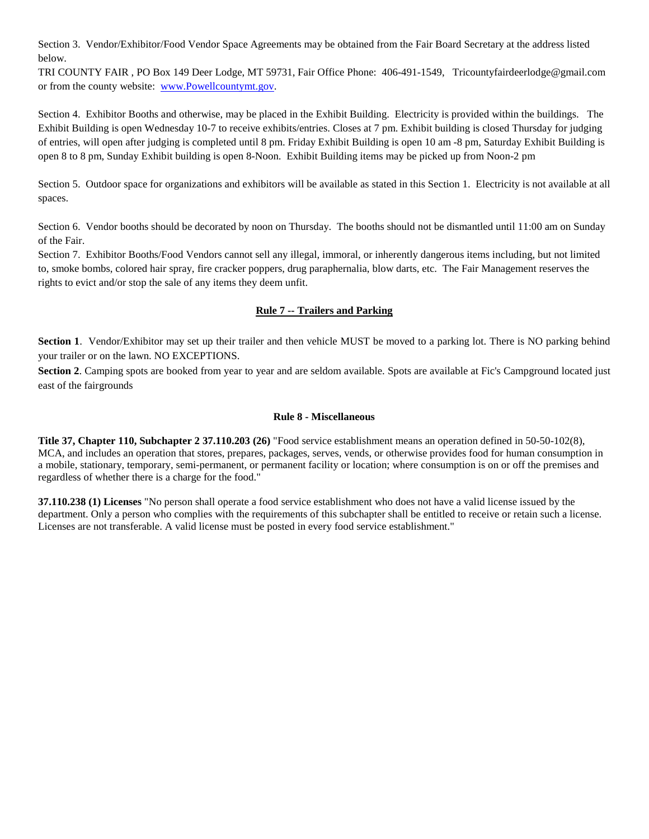Section 3. Vendor/Exhibitor/Food Vendor Space Agreements may be obtained from the Fair Board Secretary at the address listed below.

TRI COUNTY FAIR , PO Box 149 Deer Lodge, MT 59731, Fair Office Phone: 406-491-1549, Tricountyfairdeerlodge@gmail.com or from the county website: [www.Powellcountymt.gov.](http://www.madisoncountymt.gov/)

Section 4. Exhibitor Booths and otherwise, may be placed in the Exhibit Building. Electricity is provided within the buildings. The Exhibit Building is open Wednesday 10-7 to receive exhibits/entries. Closes at 7 pm. Exhibit building is closed Thursday for judging of entries, will open after judging is completed until 8 pm. Friday Exhibit Building is open 10 am -8 pm, Saturday Exhibit Building is open 8 to 8 pm, Sunday Exhibit building is open 8-Noon. Exhibit Building items may be picked up from Noon-2 pm

Section 5. Outdoor space for organizations and exhibitors will be available as stated in this Section 1. Electricity is not available at all spaces.

Section 6. Vendor booths should be decorated by noon on Thursday. The booths should not be dismantled until 11:00 am on Sunday of the Fair.

Section 7. Exhibitor Booths/Food Vendors cannot sell any illegal, immoral, or inherently dangerous items including, but not limited to, smoke bombs, colored hair spray, fire cracker poppers, drug paraphernalia, blow darts, etc. The Fair Management reserves the rights to evict and/or stop the sale of any items they deem unfit.

## **Rule 7 -- Trailers and Parking**

**Section 1.** Vendor/Exhibitor may set up their trailer and then vehicle MUST be moved to a parking lot. There is NO parking behind your trailer or on the lawn. NO EXCEPTIONS.

**Section 2**. Camping spots are booked from year to year and are seldom available. Spots are available at Fic's Campground located just east of the fairgrounds

### **Rule 8 - Miscellaneous**

**Title 37, Chapter 110, Subchapter 2 37.110.203 (26)** "Food service establishment means an operation defined in 50-50-102(8), MCA, and includes an operation that stores, prepares, packages, serves, vends, or otherwise provides food for human consumption in a mobile, stationary, temporary, semi-permanent, or permanent facility or location; where consumption is on or off the premises and regardless of whether there is a charge for the food."

**37.110.238 (1) Licenses** "No person shall operate a food service establishment who does not have a valid license issued by the department. Only a person who complies with the requirements of this subchapter shall be entitled to receive or retain such a license. Licenses are not transferable. A valid license must be posted in every food service establishment."